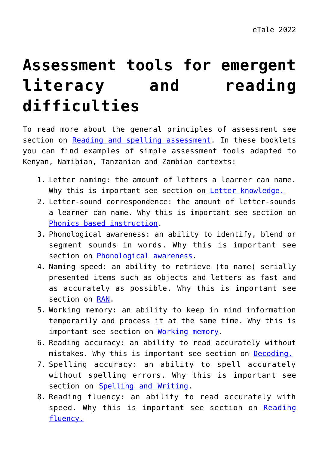## **[Assessment tools for emergent](https://dev.taleafrica.com/support-materials/assessment-tools/) [literacy and reading](https://dev.taleafrica.com/support-materials/assessment-tools/) [difficulties](https://dev.taleafrica.com/support-materials/assessment-tools/)**

To read more about the general principles of assessment see section on [Reading and spelling assessment.](https://dev.taleafrica.com/the-quality-of-classroom-practices/reading-spelling-and-writing-assessment/) In these booklets you can find examples of simple assessment tools adapted to Kenyan, Namibian, Tanzanian and Zambian contexts:

- 1. Letter naming: the amount of letters a learner can name. Why this is important see section on [Letter knowledge.](https://dev.taleafrica.com/letter-knowledge/pre-literacy-skills/#letter-knowledge)
- 2. Letter-sound correspondence: the amount of letter-sounds a learner can name. Why this is important see section on [Phonics based instruction](https://dev.taleafrica.com/the-quality-of-classroom-practices/phonics-based-instruction/).
- 3. Phonological awareness: an ability to identify, blend or segment sounds in words. Why this is important see section on [Phonological awareness](https://dev.taleafrica.com/letter-knowledge/pre-literacy-skills/#phonological-awareness).
- 4. Naming speed: an ability to retrieve (to name) serially presented items such as objects and letters as fast and as accurately as possible. Why this is important see section on [RAN](https://dev.taleafrica.com/letter-knowledge/pre-literacy-skills/#naming-speed-rapid-automatized-naming).
- 5. Working memory: an ability to keep in mind information temporarily and process it at the same time. Why this is important see section on [Working memory](https://dev.taleafrica.com/letter-knowledge/pre-literacy-skills/#working-memory).
- 6. Reading accuracy: an ability to read accurately without mistakes. Why this is important see section on **Decoding**.
- 7. Spelling accuracy: an ability to spell accurately without spelling errors. Why this is important see section on **[Spelling and Writing](https://dev.taleafrica.com/letter-knowledge/afrikaans/)**.
- 8. Reading fluency: an ability to read accurately with speed. Why this is important see section on [Reading](https://dev.taleafrica.com/letter-knowledge/decoding-and-spelling/#reading-fluency) [fluency.](https://dev.taleafrica.com/letter-knowledge/decoding-and-spelling/#reading-fluency)